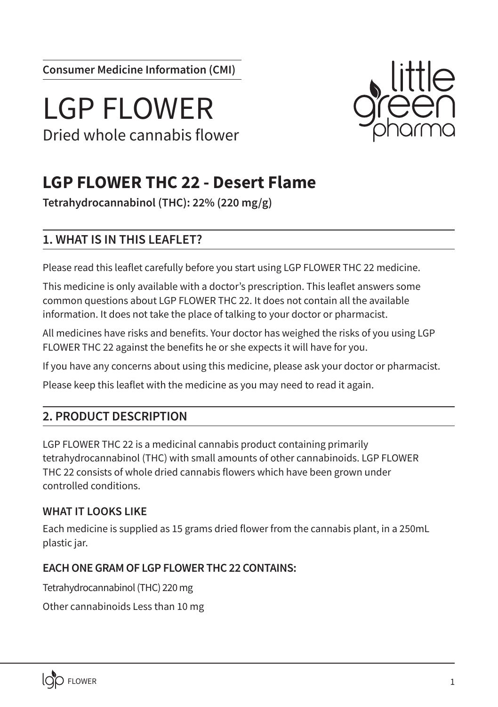**Consumer Medicine Information (CMI)**

# LGP FLOWER Dried whole cannabis flower



# **LGP FLOWER THC 22 - Desert Flame**

**Tetrahydrocannabinol (THC): 22% (220 mg/g)**

# **1. WHAT IS IN THIS LEAFLET?**

Please read this leaflet carefully before you start using LGP FLOWER THC 22 medicine.

This medicine is only available with a doctor's prescription. This leaflet answers some common questions about LGP FLOWER THC 22. It does not contain all the available information. It does not take the place of talking to your doctor or pharmacist.

All medicines have risks and benefits. Your doctor has weighed the risks of you using LGP FLOWER THC 22 against the benefits he or she expects it will have for you.

If you have any concerns about using this medicine, please ask your doctor or pharmacist.

Please keep this leaflet with the medicine as you may need to read it again.

# **2. PRODUCT DESCRIPTION**

LGP FLOWER THC 22 is a medicinal cannabis product containing primarily tetrahydrocannabinol (THC) with small amounts of other cannabinoids. LGP FLOWER THC 22 consists of whole dried cannabis flowers which have been grown under controlled conditions.

# **WHAT IT LOOKS LIKE**

Each medicine is supplied as 15 grams dried flower from the cannabis plant, in a 250mL plastic jar.

# **EACH ONE GRAM OF LGP FLOWER THC 22 CONTAINS:**

Tetrahydrocannabinol (THC) 220 mg

Other cannabinoids Less than 10 mg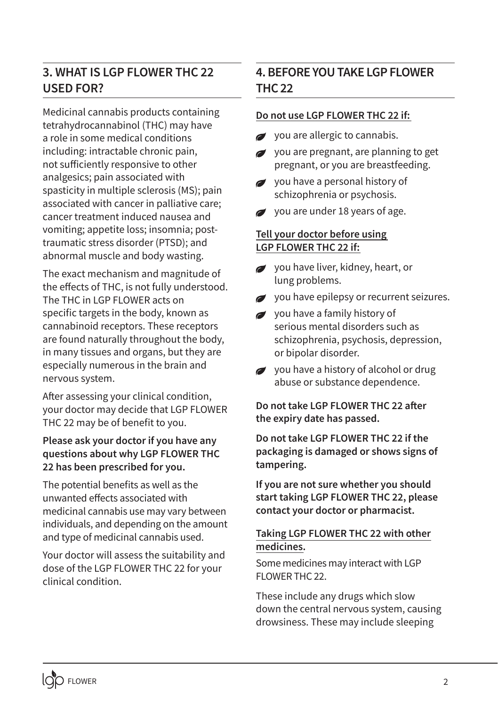# **3. WHAT IS LGP FLOWER THC 22 USED FOR?**

Medicinal cannabis products containing tetrahydrocannabinol (THC) may have a role in some medical conditions including: intractable chronic pain, not sufficiently responsive to other analgesics; pain associated with spasticity in multiple sclerosis (MS); pain associated with cancer in palliative care; cancer treatment induced nausea and vomiting; appetite loss; insomnia; posttraumatic stress disorder (PTSD); and abnormal muscle and body wasting.

The exact mechanism and magnitude of the effects of THC, is not fully understood. The THC in LGP FLOWER acts on specific targets in the body, known as cannabinoid receptors. These receptors are found naturally throughout the body, in many tissues and organs, but they are especially numerous in the brain and nervous system.

After assessing your clinical condition, your doctor may decide that LGP FLOWER THC 22 may be of benefit to you.

#### **Please ask your doctor if you have any questions about why LGP FLOWER THC 22 has been prescribed for you.**

The potential benefits as well as the unwanted effects associated with medicinal cannabis use may vary between individuals, and depending on the amount and type of medicinal cannabis used.

Your doctor will assess the suitability and dose of the LGP FLOWER THC 22 for your clinical condition.

# **4. BEFORE YOU TAKE LGP FLOWER THC 22**

#### **Do not use LGP FLOWER THC 22 if:**

- you are allergic to cannabis.
- you are pregnant, are planning to get  $\overline{a}$ pregnant, or you are breastfeeding.
- vou have a personal history of schizophrenia or psychosis.
- you are under 18 years of age.

#### **Tell your doctor before using LGP FLOWER THC 22 if:**

- you have liver, kidney, heart, or lung problems.
- you have epilepsy or recurrent seizures.
- you have a family history of serious mental disorders such as schizophrenia, psychosis, depression, or bipolar disorder.
- you have a history of alcohol or drug abuse or substance dependence.

**Do not take LGP FLOWER THC 22 after the expiry date has passed.**

**Do not take LGP FLOWER THC 22 if the packaging is damaged or shows signs of tampering.**

**If you are not sure whether you should start taking LGP FLOWER THC 22, please contact your doctor or pharmacist.**

#### **Taking LGP FLOWER THC 22 with other medicines.**

Some medicines may interact with LGP FLOWER THC 22.

These include any drugs which slow down the central nervous system, causing drowsiness. These may include sleeping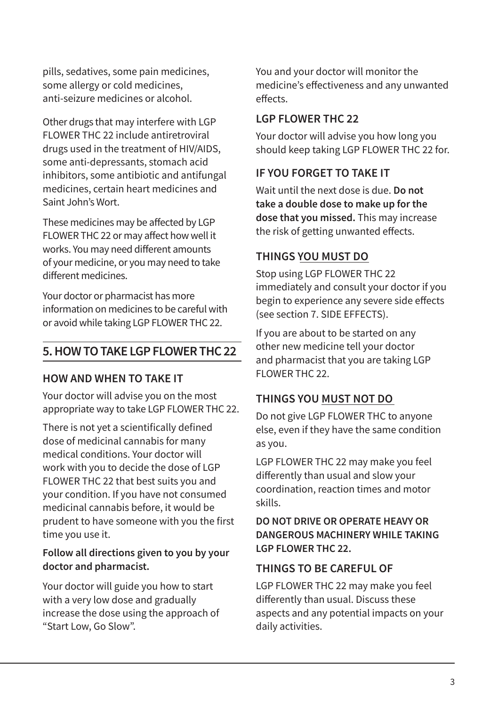pills, sedatives, some pain medicines, some allergy or cold medicines, anti-seizure medicines or alcohol.

Other drugs that may interfere with LGP FLOWER THC 22 include antiretroviral drugs used in the treatment of HIV/AIDS, some anti-depressants, stomach acid inhibitors, some antibiotic and antifungal medicines, certain heart medicines and Saint John's Wort.

These medicines may be affected by LGP FLOWER THC 22 or may affect how well it works. You may need different amounts of your medicine, or you may need to take different medicines.

Your doctor or pharmacist has more information on medicines to be careful with or avoid while taking LGP FLOWER THC 22.

# **5. HOW TO TAKE LGP FLOWER THC 22**

### **HOW AND WHEN TO TAKE IT**

Your doctor will advise you on the most appropriate way to take LGP FLOWER THC 22.

There is not yet a scientifically defined dose of medicinal cannabis for many medical conditions. Your doctor will work with you to decide the dose of LGP FLOWER THC 22 that best suits you and your condition. If you have not consumed medicinal cannabis before, it would be prudent to have someone with you the first time you use it.

#### **Follow all directions given to you by your doctor and pharmacist.**

Your doctor will guide you how to start with a very low dose and gradually increase the dose using the approach of "Start Low, Go Slow".

You and your doctor will monitor the medicine's effectiveness and any unwanted effects.

#### **LGP FLOWER THC 22**

Your doctor will advise you how long you should keep taking LGP FLOWER THC 22 for.

## **IF YOU FORGET TO TAKE IT**

Wait until the next dose is due. **Do not take a double dose to make up for the dose that you missed.** This may increase the risk of getting unwanted effects.

# **THINGS YOU MUST DO**

Stop using LGP FLOWER THC 22 immediately and consult your doctor if you begin to experience any severe side effects (see section 7. SIDE EFFECTS).

If you are about to be started on any other new medicine tell your doctor and pharmacist that you are taking LGP FLOWER THC 22

# **THINGS YOU MUST NOT DO**

Do not give LGP FLOWER THC to anyone else, even if they have the same condition as you.

LGP FLOWER THC 22 may make you feel differently than usual and slow your coordination, reaction times and motor skills.

### **DO NOT DRIVE OR OPERATE HEAVY OR DANGEROUS MACHINERY WHILE TAKING LGP FLOWER THC 22.**

### **THINGS TO BE CAREFUL OF**

LGP FLOWER THC 22 may make you feel differently than usual. Discuss these aspects and any potential impacts on your daily activities.